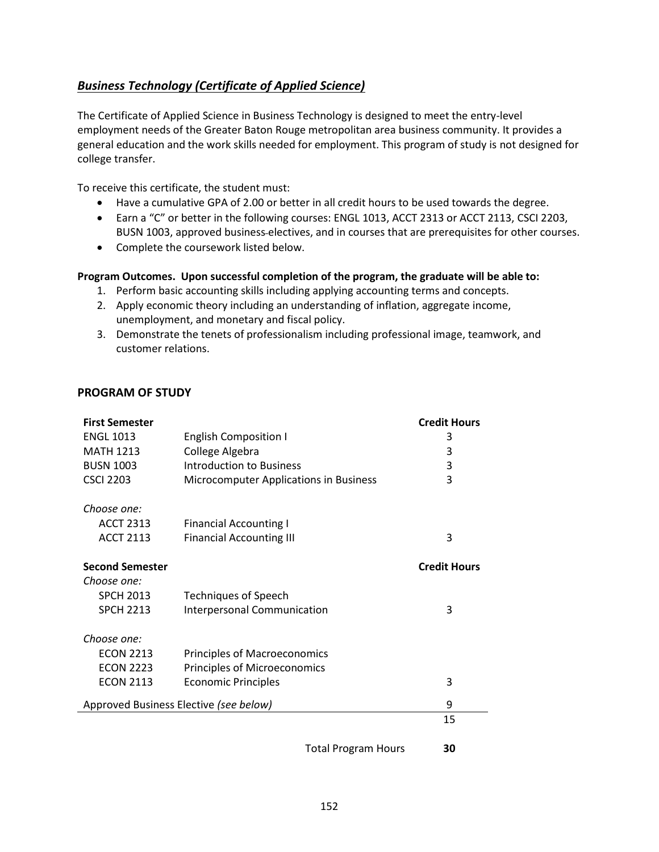## <span id="page-0-0"></span>*[Business Technology \(Certificate of Applied Science\)](#page-0-0)*

The Certificate of Applied Science in Business Technology is designed to meet the entry-level employment needs of the Greater Baton Rouge metropolitan area business community. It provides a general education and the work skills needed for employment. This program of study is not designed for college transfer.

To receive this certificate, the student must:

- Have a cumulative GPA of 2.00 or better in all credit hours to be used towards the degree.
- Earn a "C" or better in the following courses: ENGL 1013, ACCT 2313 or ACCT 2113, CSCI 2203, BUSN 1003, approved business electives, and in courses that are prerequisites for other courses.
- Complete the coursework listed below.

## **Program Outcomes. Upon successful completion of the program, the graduate will be able to:**

- 1. Perform basic accounting skills including applying accounting terms and concepts.
- 2. Apply economic theory including an understanding of inflation, aggregate income, unemployment, and monetary and fiscal policy.
- 3. Demonstrate the tenets of professionalism including professional image, teamwork, and customer relations.

## **PROGRAM OF STUDY**

| <b>First Semester</b>                  |                                        | <b>Credit Hours</b> |
|----------------------------------------|----------------------------------------|---------------------|
| <b>ENGL 1013</b>                       | <b>English Composition I</b>           | 3                   |
| <b>MATH 1213</b>                       | College Algebra                        | 3                   |
| <b>BUSN 1003</b>                       | <b>Introduction to Business</b>        | 3                   |
| <b>CSCI 2203</b>                       | Microcomputer Applications in Business | 3                   |
| Choose one:                            |                                        |                     |
| <b>ACCT 2313</b>                       | <b>Financial Accounting I</b>          |                     |
| <b>ACCT 2113</b>                       | <b>Financial Accounting III</b>        | 3                   |
| <b>Second Semester</b>                 |                                        | <b>Credit Hours</b> |
| Choose one:                            |                                        |                     |
| <b>SPCH 2013</b>                       | <b>Techniques of Speech</b>            |                     |
| <b>SPCH 2213</b>                       | <b>Interpersonal Communication</b>     | 3                   |
| Choose one:                            |                                        |                     |
| <b>ECON 2213</b>                       | Principles of Macroeconomics           |                     |
| <b>ECON 2223</b>                       | Principles of Microeconomics           |                     |
| <b>ECON 2113</b>                       | <b>Economic Principles</b>             | 3                   |
| Approved Business Elective (see below) |                                        | 9                   |
|                                        |                                        | 15                  |
|                                        |                                        |                     |

Total Program Hours **30**